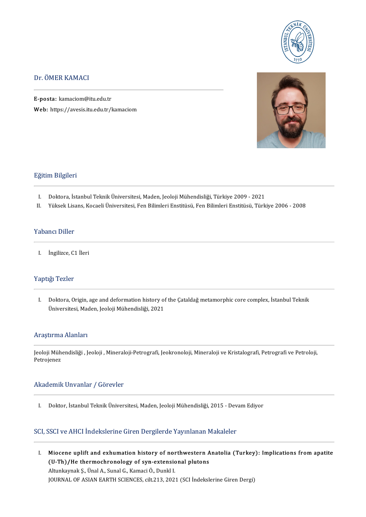

### Dr.ÖMERKAMACI

E-posta: kamaciom@itu.edu.tr Web: https://avesis.itu.edu.tr/kamaciom



### Eğitim Bilgileri

- I. Doktora, İstanbul Teknik Üniversitesi, Maden, Jeoloji Mühendisliği, Türkiye 2009 2021<br>II. Yüksek Lisans, Kocaeli Üniversitesi, Fen Bilimleri Enstitüsü, Fen Bilimleri Enstitüsü, Türl
- I . YüksekLisans,KocaeliÜniversitesi,FenBilimleriEnstitüsü,FenBilimleriEnstitüsü,Türkiye2006-2008

### Yabancı Diller

I. İngilizce,C1İleri

### Yaptığı Tezler

I. Doktora, Origin, age and deformation history of the Çataldağ metamorphic core complex, İstanbul Teknik Üniversitesi, Maden, Jeoloji Mühendisliği, 2021

### Araştırma Alanları

JeolojiMühendisliği , Jeoloji ,Mineraloji-Petrografi, Jeokronoloji,MineralojiveKristalografi,PetrografivePetroloji, en ayarma<br>Jeoloji Müh<br>Petrojenez

# Petrojenez<br>Akademik Unvanlar / Görevler

I. Doktor, İstanbul Teknik Üniversitesi, Maden, Jeoloji Mühendisliği, 2015 - Devam Ediyor

### SCI, SSCI ve AHCI İndekslerine Giren Dergilerde Yayınlanan Makaleler

I. Miocene uplift and exhumation history of northwestern Anatolia (Turkey): Implications fromapatite Miocene uplift and exhumation history of northwestern A<br>(U-Th)/He thermochronology of syn-extensional plutons Miocene uplift and exhumation history of nor<br>(U-Th)/He thermochronology of syn-extensic<br>Altunkaynak Ş., Ünal A., Sunal G., Kamaci Ö., Dunkl I.<br>JOUPMAL OF ASIAN FARTH SCIENCES, silt 212, 202 (U-Th)/He thermochronology of syn-extensional plutons<br>Altunkaynak Ş., Ünal A., Sunal G., Kamaci Ö., Dunkl I.<br>JOURNAL OF ASIAN EARTH SCIENCES, cilt.213, 2021 (SCI İndekslerine Giren Dergi)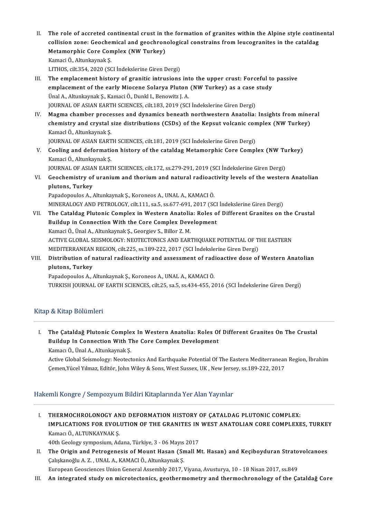- II. The role of accreted continental crust in the formation of granites within the Alpine style continental<br>Collision Fone: Coochemical and geochronological constrains from lougegranites in the sataldes The role of accreted continental crust in the formation of granites within the Alpine style contin<br>collision zone: Geochemical and geochronological constrains from leucogranites in the cataldag<br>Metamernhis Care Compley (NW The role of accreted continental crust in t<br>collision zone: Geochemical and geochron<br>Metamorphic Core Complex (NW Turkey)<br>Kamasi Ö. Altunkaymak S collision zone: Geochemical and geochronological constrains from leucogranites in the cataldag<br>Metamorphic Core Complex (NW Turkey)<br>Kamaci Ö., Altunkaynak Ş. LITHOS, cilt.354, 2020 (SCI İndekslerine Giren Dergi) Kamaci Ö., Altunkaynak Ş.<br>LITHOS, cilt.354, 2020 (SCI İndekslerine Giren Dergi)<br>III. The emplacement history of granitic intrusions into the upper crust: Forceful to passive<br>amplacement of the early Missone Solarya Bluton
- LITHOS, cilt.354, 2020 (SCI İndekslerine Giren Dergi)<br>The emplacement history of granitic intrusions into the upper crust: Forceful to<br>emplacement of the early Miocene Solarya Pluton (NW Turkey) as a case study<br><sup>Thol A</sup>, A emplacement of the early Miocene Solarya Pluton (NW Turkey) as a case study Unal A., Altunkaynak S., Kamaci Ö., Dunkl I., Benowitz J. A. JOURNAL OF ASIAN EARTH SCIENCES, cilt.183, 2019 (SCI İndekslerine Giren Dergi) Unal A., Altunkaynak Ş., Kamaci Ö., Dunkl I., Benowitz J. A.<br>JOURNAL OF ASIAN EARTH SCIENCES, cilt.183, 2019 (SCI İndekslerine Giren Dergi)<br>IV. Magma chamber processes and dynamics beneath northwestern Anatolia: Insights f
- JOURNAL OF ASIAN EARTH SCIENCES, cilt.183, 2019 (SCI İndekslerine Giren Dergi)<br>Magma chamber processes and dynamics beneath northwestern Anatolia: Insights from mine<br>chemistry and crystal size distributions (CSDs) of the K Magma chamber proce<br>chemistry and crystal<br>Kamacl Ö., Altunkaynak Ş.<br>JOUPMAL OE ASIAN FART chemistry and crystal size distributions (CSDs) of the Kepsut volcanic complex (NW Turkey)<br>Kamacl Ö., Altunkaynak Ş.<br>JOURNAL OF ASIAN EARTH SCIENCES, cilt.181, 2019 (SCI İndekslerine Giren Dergi)

Kamacl Ö., Altunkaynak Ş.<br>JOURNAL OF ASIAN EARTH SCIENCES, cilt.181, 2019 (SCI İndekslerine Giren Dergi)<br>V. Cooling and deformation history of the cataldag Metamorphic Core Complex (NW Turkey)<br>Kamasi Ö. Altunkaynak S. **JOURNAL OF ASIAN EART<br>Cooling and deformation<br>Kamaci Ö., Altunkaynak Ş.<br>JOUPNAL OF ASIAN FART** Cooling and deformation history of the cataldag Metamorphic Core Complex (NW Tu<br>Kamaci Ö., Altunkaynak Ş.<br>JOURNAL OF ASIAN EARTH SCIENCES, cilt.172, ss.279-291, 2019 (SCI İndekslerine Giren Dergi)<br>Coochamistru of uranium a

Kamaci Ö., Altunkaynak Ş.<br>JOURNAL OF ASIAN EARTH SCIENCES, cilt.172, ss.279-291, 2019 (SCI İndekslerine Giren Dergi)<br>VI. Geochemistry of uranium and thorium and natural radioactivity levels of the western Anatolian<br>plutons **JOURNAL OF ASIA<br>Geochemistry of<br>plutons, Turkey**<br>Papadapoulas A Geochemistry of uranium and thorium and natural radioact<br>plutons, Turkey<br>Papadopoulos A., Altunkaynak Ş., Koroneos A., UNAL A., KAMACI Ö.<br>MINERALOCY AND PETROLOCY silt 111, 82 E. 88 677-601-2017 (SC plutons, Turkey<br>Papadopoulos A., Altunkaynak Ş., Koroneos A., UNAL A., KAMACI Ö.<br>MINERALOGY AND PETROLOGY, cilt.111, sa.5, ss.677-691, 2017 (SCI İndekslerine Giren Dergi)<br>The Getaldeg Plutenia Cempley in Western Anatolia:

Papadopoulos A., Altunkaynak Ş., Koroneos A., UNAL A., KAMACI Ö.<br>MINERALOGY AND PETROLOGY, cilt.111, sa.5, ss.677-691, 2017 (SCI İndekslerine Giren Dergi)<br>VII. The Cataldag Plutonic Complex in Western Anatolia: Roles of Di MINERALOGY AND PETROLOGY, cilt.111, sa.5, ss.677-691, 2017 (SCI<br>The Cataldag Plutonic Complex in Western Anatolia: Roles o<br>Buildup in Connection With the Core Complex Development<br>Kamasi Ö. Ünal A. Altunkaynak S. Coorgioy S KamaciÖ.,ÜnalA.,AltunkaynakŞ.,GeorgievS.,Bilor Z.M. ACTIVE GLOBAL SEISMOLOGY: NEOTECTONICS AND EARTHOUAKE POTENTIAL OF THE EASTERN Kamaci Ö., Ünal A., Altunkaynak Ş., Georgiev S., Billor Z. M.<br>ACTIVE GLOBAL SEISMOLOGY: NEOTECTONICS AND EARTHQUAKE POTENTIAL OF T.<br>MEDITERRANEAN REGION, cilt.225, ss.189-222, 2017 (SCI İndekslerine Giren Dergi)<br>Distributi VIII. Distribution of natural radioactivity and assessment of radioactive dose of Western Anatolian plutons, Turkey MEDITERRANEAN<br>Distribution of n<br>plutons, Turkey<br><sup>Panadanoulos A</sup>

Papadopoulos A., Altunkaynak Ş., Koroneos A., UNAL A., KAMACI Ö. TURKISH JOURNAL OF EARTH SCIENCES, cilt.25, sa.5, ss.434-455, 2016 (SCI İndekslerine Giren Dergi)

### Kitap & Kitap Bölümleri

itap & Kitap Bölümleri<br>I. The Çataldağ Plutonic Complex In Western Anatolia: Roles Of Different Granites On The Crustal<br>Ruildun In Connection With The Core Complex Development The Çataldağ Plutonic Complex In Western Anatolia: Roles Of<br>Buildup In Connection With The Core Complex Development Buildup In Connection With The Core Complex Development<br>Kamacı Ö., Ünal A., Altunkaynak Ş. Buildup In Connection With The Core Complex Development<br>Kamacı Ö., Ünal A., Altunkaynak Ş.<br>Active Global Seismology: Neotectonics And Earthquake Potential Of The Eastern Mediterranean Region, İbrahim<br>Caman Vücel Yılmaz, Ed

Kamacı Ö., Ünal A., Altunkaynak Ş.<br>Active Global Seismology: Neotectonics And Earthquake Potential Of The Eastern Mediterranean<br>Çemen,Yücel Yılmaz, Editör, John Wiley & Sons, West Sussex, UK , New Jersey, ss.189-222, 2017 Çemen,Yücel Yılmaz, Editör, John Wiley & Sons, West Sussex, UK , New Jersey, ss.189-222, 2017<br>Hakemli Kongre / Sempozyum Bildiri Kitaplarında Yer Alan Yayınlar

I. THERMOCHROLONOGY AND DEFORMATION HISTORY OF ÇATALDAG PLUTONIC COMPLEX: THERMOCHROLONOGY AND DEFORMATION HISTORY OF ÇATALDAG PLUTONIC COMPLEX:<br>IMPLICATIONS FOR EVOLUTION OF THE GRANITES IN WEST ANATOLIAN CORE COMPLEXES, TURKEY THERMOCHROLONOGY AN<br>IMPLICATIONS FOR EVOL<br>Kamacı Ö., ALTUNKAYNAK Ş.<br>40th Coology symposium, Ad IMPLICATIONS FOR EVOLUTION OF THE GRANITES IN<br>Kamacı Ö., ALTUNKAYNAK Ş.<br>40th Geology symposium, Adana, Türkiye, 3 - 06 Mayıs 2017<br>The Origin and Betrogonesis of Mount Hasan (Small M

40th Geology symposium, Adana, Türkiye, 3 - 06 Mayıs 2017

Kamacı Ö., ALTUNKAYNAK Ş.<br>40th Geology symposium, Adana, Türkiye, 3 - 06 Mayıs 2017<br>II. The Origin and Petrogenesis of Mount Hasan (Small Mt. Hasan) and Keçiboyduran Stratovolcanoes<br>Calışkanoğlu A. Z. , UNAL A., KAMACI

European Geosciences Union General Assembly 2017, Viyana, Avusturya, 10 - 18 Nisan 2017, ss.849

III. An integrated study on microtectonics, geothermometry and thermochronology of the Çataldağ Core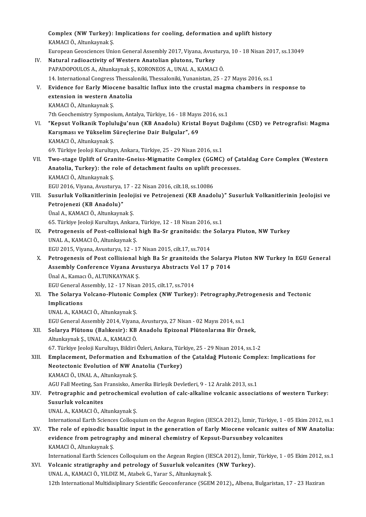Complex (NW Turkey): Implications for cooling, deformation and uplift history<br>KAMACLÖ, Altunkaynek S Complex (NW Turkey):<br>KAMACI Ö., Altunkaynak Ş.<br>Euronean Ceessianess Uni Complex (NW Turkey): Implications for cooling, deformation and uplift history<br>KAMACI Ö., Altunkaynak Ş.<br>European Geosciences Union General Assembly 2017, Viyana, Avusturya, 10 - 18 Nisan 2017, ss.13049<br>Natural radioastivit KAMACI Ö., Altunkaynak Ş.<br>European Geosciences Union General Assembly 2017, Viyana, Avustury<br>IV. Natural radioactivity of Western Anatolian plutons, Turkey<br>PAPADOPOULOS A., Altunkaynak Ş., KORONEOS A., UNAL A., KAMACI Ö. European Geosciences Union General Assembly 2017, Viyana, Avustury<br>Natural radioactivity of Western Anatolian plutons, Turkey<br>PAPADOPOULOS A., Altunkaynak Ş., KORONEOS A., UNAL A., KAMACI Ö.<br>14. International Congress Thes 14. International Congress Thessaloniki, Thessaloniki, Yunanistan, 25 - 27 Mayıs 2016, ss.1 PAPADOPOULOS A., Altunkaynak Ş., KORONEOS A., UNAL A., KAMACI Ö.<br>14. International Congress Thessaloniki, Thessaloniki, Yunanistan, 25 - 27 Mayıs 2016, ss.1<br>V. Evidence for Early Miocene basaltic Influx into the crusta 14. International Congress Thessal<br>Evidence for Early Miocene ba<br>extension in western Anatolia<br>KAMACLÖ Altunkaynak S Evidence for Early Mioc<br>extension in western Ar<br>KAMACI Ö., Altunkaynak Ş.<br>7th Coochomistry Symnosi extension in western Anatolia<br>KAMACI Ö., Altunkaynak Ş.<br>7th Geochemistry Symposium, Antalya, Türkiye, 16 - 18 Mayıs 2016, ss.1<br>"Kansut Valkanik Tanluluğu'nun (KB Anadolu), Kristal Boyut Dağ KAMACI Ö., Altunkaynak Ş.<br>7th Geochemistry Symposium, Antalya, Türkiye, 16 - 18 Mayıs 2016, ss.1<br>VI. "Kepsut Volkanik Topluluğu'nun (KB Anadolu) Kristal Boyut Dağılımı (CSD) ve Petrografisi: Magma<br>Kanısması ve Yükselim Sür 7th Geochemistry Symposium, Antalya, Türkiye, 16 - 18 Mayıs<br>"Kepsut Volkanik Topluluğu'nun (KB Anadolu) Kristal<br>Karışması ve Yükselim Süreçlerine Dair Bulgular", 69<br>KAMACLÖ Alturkaynak S "Kepsut Volkanik Toplu<br>Karışması ve Yükselim S<br>KAMACI Ö., Altunkaynak Ş.<br>60 Türkiya kaleji Kuruka Karışması ve Yükselim Süreçlerine Dair Bulgular", 69<br>KAMACI Ö., Altunkaynak Ş.<br>69. Türkiye Jeoloji Kurultayı, Ankara, Türkiye, 25 - 29 Nisan 2016, ss.1<br>Ture stage Unlift of Granite Cneise Migmetite Campley (GGMG) KAMACI Ö., Altunkaynak Ş.<br>69. Türkiye Jeoloji Kurultayı, Ankara, Türkiye, 25 - 29 Nisan 2016, ss.1<br>VII. Two-stage Uplift of Granite-Gneiss-Migmatite Complex (GGMC) of Çataldag Core Complex (Western<br>Anatalia Turkay): th 69. Türkiye Jeoloji Kurultayı, Ankara, Türkiye, 25 - 29 Nisan 2016, ss.1<br>Two-stage Uplift of Granite-Gneiss-Migmatite Complex (GGMC) of Ça<br>Anatolia, Turkey): the role of detachment faults on uplift processes.<br>KAMACLÖ, Altu Two-stage Uplift of Grai<br>Anatolia, Turkey): the r<br>KAMACI Ö., Altunkaynak Ş.<br>ECU 2016 Viyana Ayustur Anatolia, Turkey): the role of detachment faults on uplift p<br>KAMACI Ö., Altunkaynak Ş.<br>EGU 2016, Viyana, Avusturya, 17 - 22 Nisan 2016, cilt.18, ss.10086<br>Syayrluk Volkanitlerinin Joolejisi ve Petreianeri (KP Anade KAMACI Ö., Altunkaynak Ş.<br>EGU 2016, Viyana, Avusturya, 17 - 22 Nisan 2016, cilt.18, ss.10086<br>VIII. Susurluk Volkanitlerinin Jeolojisi ve Petrojenezi (KB Anadolu)" Susurluk Volkanitlerinin Jeolojisi ve<br>Petrojanari (KB A EGU 2016, Viyana, Avusturya, 1<br>Susurluk Volkanitlerinin Je<br>Petrojenezi (KB Anadolu)"<br><sup>Ünol A. KAMACLÖ Alturkayna</sup> Susurluk Volkanitlerinin Jeoloj<br>Petrojenezi (KB Anadolu)"<br>Ünal A., KAMACI Ö., Altunkaynak Ş.<br>65. Türkiye Jeoloji Kurultayı, Ankar 9etrojenezi (KB Anadolu)"<br>Ünal A., KAMACI Ö., Altunkaynak Ş.<br>65. Türkiye Jeoloji Kurultayı, Ankara, Türkiye, 12 - 18 Nisan 2016, ss.1 Unal A., KAMACI Ö., Altunkaynak Ş.<br>65. Türkiye Jeoloji Kurultayı, Ankara, Türkiye, 12 - 18 Nisan 2016, ss.1<br>IX. Petrogenesis of Post-collisional high Ba-Sr granitoids: the Solarya Pluton, NW Turkey<br>IINAL A. KAMACI Ö. Altun 65. Türkiye Jeoloji Kurultayı, Ankara<br>Petrogenesis of Post-collisional<br>UNAL A., KAMACI Ö., Altunkaynak Ş.<br>ECU 2015. Viyana, Ayusturya 12, 11 Petrogenesis of Post-collisional high Ba-Sr granitoids: the<br>UNAL A., KAMACI Ö., Altunkaynak Ş.<br>EGU 2015, Viyana, Avusturya, 12 - 17 Nisan 2015, cilt.17, ss.7014<br>Petrogenesis of Post sollisional bigh Ba Sr granitoids the ' UNAL A., KAMACI Ö., Altunkaynak Ş.<br>EGU 2015, Viyana, Avusturya, 12 - 17 Nisan 2015, cilt.17, ss.7014<br>X. Petrogenesis of Post collisional high Ba Sr granitoids the Solarya Pluton NW Turkey In EGU General EGU 2015, Viyana, Avusturya, 12 - 17 Nisan 2015, cilt.17, ss.7014<br>Petrogenesis of Post collisional high Ba Sr granitoids the Solarya<br>Assembly Conference Viyana Avusturya Abstracts Vol 17 p 7014<br>Ünal A. Kaması Ö. ALTINKAVNA Petrogenesis of Post collisional h<br>Assembly Conference Viyana Avu<br>Ünal A., Kamacı Ö., ALTUNKAYNAK Ş.<br>ECU Canaral Assembly 12, 17 Nigan Assembly Conference Viyana Avusturya Abstracts Vo<br>Ünal A., Kamacı Ö., ALTUNKAYNAK Ş.<br>EGU General Assembly, 12 - 17 Nisan 2015, cilt.17, ss.7014<br>The Selerya Volgano Plutonia Compley (NW Turkey) Ünal A., Kamacı Ö., ALTUNKAYNAK Ş.<br>EGU General Assembly, 12 - 17 Nisan 2015, cilt.17, ss.7014<br>XI. The Solarya Volcano-Plutonic Complex (NW Turkey): Petrography,Petrogenesis and Tectonic<br>Implications EGU General Assembly, 12 - 17 Nisan 2015, cilt 17, ss 7014 UNALA.,KAMACIÖ.,AltunkaynakŞ. I<mark>mplications</mark><br>UNAL A., KAMACI Ö., Altunkaynak Ş.<br>EGU General Assembly 2014, Viyana, Avusturya, 27 Nisan - 02 Mayıs 2014, ss.1<br>Salarya Blütanu (Balıkasin): KB Anadalu Enizanal Blütanlarına Bir Örn XII. Solarya Plütonu (Balıkesir): KB Anadolu Epizonal Plütonlarına Bir Örnek,<br>Altunkaynak Ş., UNAL A., KAMACI Ö. EGU General Assembly 2014, Viyana<br>Solarya Plütonu (Balıkesir): KB<br>Altunkaynak Ş., UNAL A., KAMACI Ö.<br>67. Türlüve Jeoleji Kurultayı, Bildiri t 67.Türkiye JeolojiKurultayı,BildiriÖzleri,Ankara,Türkiye,25-29Nisan2014, ss.1-2 Altunkaynak Ş., UNAL A., KAMACI Ö.<br>67. Türkiye Jeoloji Kurultayı, Bildiri Özleri, Ankara, Türkiye, 25 - 29 Nisan 2014, ss.1-2<br>XIII. Emplacement, Deformation and Exhumation of the Çataldağ Plutonic Complex: Implications 67. Türkiye Jeoloji Kurultayı, Bildiri Özleri, Ankara, Tür<br>Emplacement, Deformation and Exhumation of t<br>Neotectonic Evolution of NW Anatolia (Turkey)<br>KAMACLÖ, UNAL A. Alturkeynek S Emplacement, Deformation and<br>Neotectonic Evolution of NW Ar<br>KAMACI Ö., UNAL A., Altunkaynak Ş.<br>ACU Fall Mesting San Fransisko, Ar Neotectonic Evolution of NW Anatolia (Turkey)<br>KAMACI Ö., UNAL A., Altunkaynak Ş.<br>AGU Fall Meeting, San Fransisko, Amerika Birleşik Devletleri, 9 - 12 Aralık 2013, ss.1 KAMACI Ö., UNAL A., Altunkaynak Ş.<br>AGU Fall Meeting, San Fransisko, Amerika Birleşik Devletleri, 9 - 12 Aralık 2013, ss.1<br>XIV. Petrographic and petrochemical evolution of calc-alkaline volcanic associations of western AGU Fall Meeting, San<br><mark>Petrographic and pe<br>Susurluk volcanites</mark><br>UNAL A. KAMACUÖ A Petrographic and petrochemical<br>Susurluk volcanites<br>UNAL A., KAMACI Ö., Altunkaynak Ş.<br>International Farth Sciences Collogy Su<mark>surluk volcanites</mark><br>UNAL A., KAMACI Ö., Altunkaynak Ş.<br>International Earth Sciences Colloquium on the Aegean Region (IESCA 2012), İzmir, Türkiye, 1 - 05 Ekim 2012, ss.1<br>The rele of enisodis beseltis innut in the generati UNAL A., KAMACI Ö., Altunkaynak Ş.<br>International Earth Sciences Colloquium on the Aegean Region (IESCA 2012), İzmir, Türkiye, 1 - 05 Ekim 2012, ss.1<br>XV. The role of episodic basaltic input in the generation of Early Miocen International Earth Sciences Colloquium on the Aegean Region (IESCA 2012), İzmir, Türkiye, 1<br>The role of episodic basaltic input in the generation of Early Miocene volcanic suite<br>evidence from petrography and mineral chemi The role of episodic base<br>evidence from petrogra<br>KAMACI Ö., Altunkaynak Ş.<br>International Farth Science evidence from petrography and mineral chemistry of Kepsut-Dursunbey volcanites<br>KAMACI Ö., Altunkaynak Ş.<br>International Earth Sciences Colloquium on the Aegean Region (IESCA 2012), İzmir, Türkiye, 1 - 05 Ekim 2012, ss.1<br>Vel KAMACI Ö., Altunkaynak Ş.<br>International Earth Sciences Colloquium on the Aegean Region (IESCA 2012), İzmir,<br>XVI. Volcanic stratigraphy and petrology of Susurluk volcanites (NW Turkey).<br>UNAL A., KAMACI Ö., YILDIZ M., Atabek International Earth Sciences Colloquium on the Aegean Region (IE<br>**Volcanic stratigraphy and petrology of Susurluk volcanite:**<br>UNAL A., KAMACI Ö., YILDIZ M., Atabek G., Yarar S., Altunkaynak Ş.<br>12th International Multidianl 12th International Multidisiplinary Scientific Geoconferance (SGEM 2012), Albena, Bulgaristan, 17 - 23 Haziran